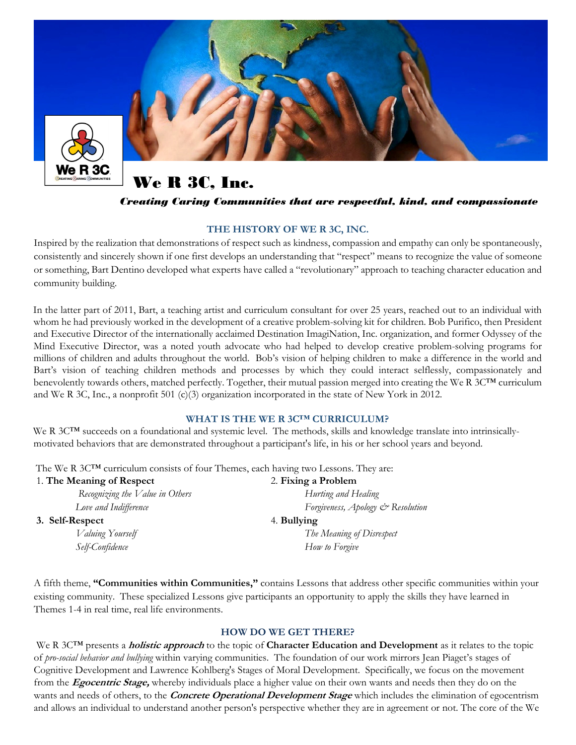

We R 3C, Inc.

### Creating Caring Communities that are respectful, kind, and compassionate

### THE HISTORY OF WE R 3C, INC.

Inspired by the realization that demonstrations of respect such as kindness, compassion and empathy can only be spontaneously, consistently and sincerely shown if one first develops an understanding that "respect" means to recognize the value of someone or something, Bart Dentino developed what experts have called a "revolutionary" approach to teaching character education and community building.

In the latter part of 2011, Bart, a teaching artist and curriculum consultant for over 25 years, reached out to an individual with whom he had previously worked in the development of a creative problem-solving kit for children. Bob Purifico, then President and Executive Director of the internationally acclaimed Destination ImagiNation, Inc. organization, and former Odyssey of the Mind Executive Director, was a noted youth advocate who had helped to develop creative problem-solving programs for millions of children and adults throughout the world. Bob's vision of helping children to make a difference in the world and Bart's vision of teaching children methods and processes by which they could interact selflessly, compassionately and benevolently towards others, matched perfectly. Together, their mutual passion merged into creating the We R 3C™ curriculum and We R 3C, Inc., a nonprofit 501 (c)(3) organization incorporated in the state of New York in 2012.

#### WHAT IS THE WE R 3CTM CURRICULUM?

We R 3C™ succeeds on a foundational and systemic level. The methods, skills and knowledge translate into intrinsicallymotivated behaviors that are demonstrated throughout a participant's life, in his or her school years and beyond.

The We R 3C<sup>TM</sup> curriculum consists of four Themes, each having two Lessons. They are:

| 1. The Meaning of Respect       | 2. Fixing a Problem               |
|---------------------------------|-----------------------------------|
| Recognizing the Value in Others | Hurting and Healing               |
| Love and Indifference           | Forgiveness, Apology & Resolution |
| 3. Self-Respect                 | 4. Bullying                       |
| Valuing Yourself                | The Meaning of Disrespect         |
| Self-Confidence                 | How to Forgive                    |

A fifth theme, "Communities within Communities," contains Lessons that address other specific communities within your existing community. These specialized Lessons give participants an opportunity to apply the skills they have learned in Themes 1-4 in real time, real life environments.

### HOW DO WE GET THERE?

We R 3C<sup>TM</sup> presents a *holistic approach* to the topic of Character Education and Development as it relates to the topic of pro-social behavior and bullying within varying communities. The foundation of our work mirrors Jean Piaget's stages of Cognitive Development and Lawrence Kohlberg's Stages of Moral Development. Specifically, we focus on the movement from the Egocentric Stage, whereby individuals place a higher value on their own wants and needs then they do on the wants and needs of others, to the *Concrete Operational Development Stage* which includes the elimination of egocentrism and allows an individual to understand another person's perspective whether they are in agreement or not. The core of the We